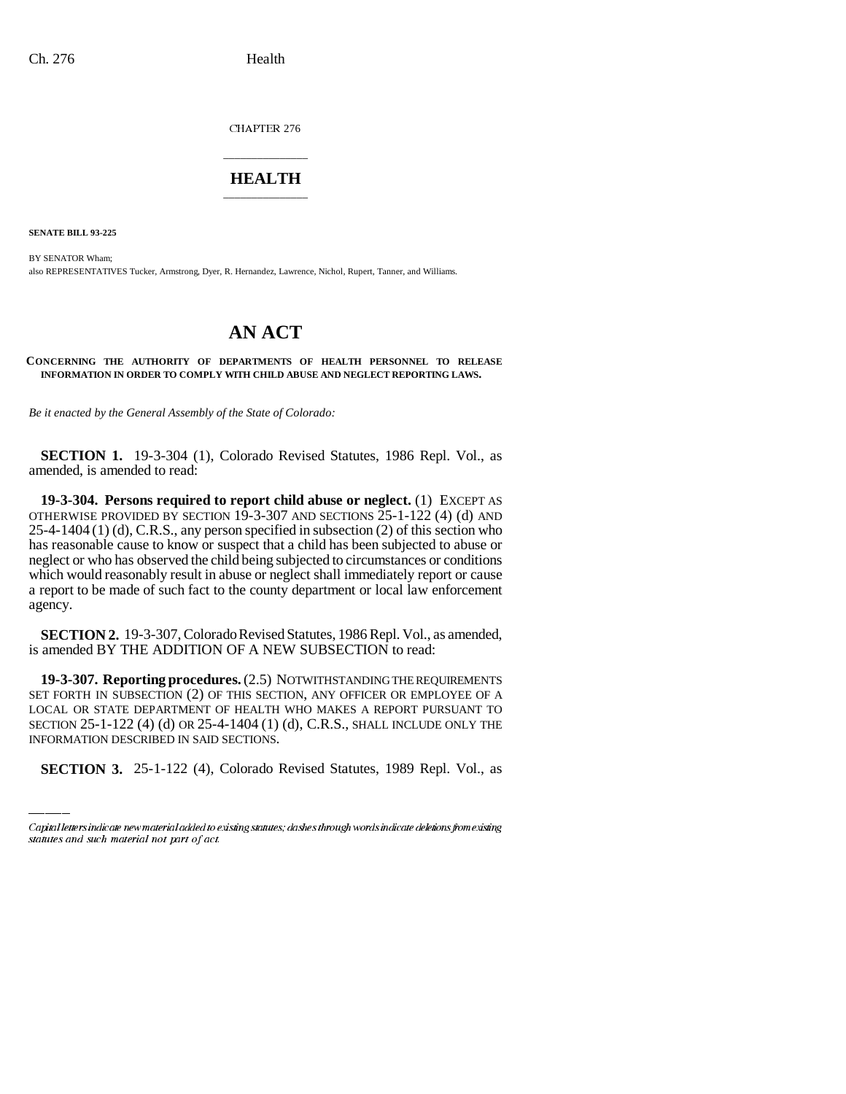CHAPTER 276

## \_\_\_\_\_\_\_\_\_\_\_\_\_\_\_ **HEALTH** \_\_\_\_\_\_\_\_\_\_\_\_\_\_\_

**SENATE BILL 93-225**

BY SENATOR Wham; also REPRESENTATIVES Tucker, Armstrong, Dyer, R. Hernandez, Lawrence, Nichol, Rupert, Tanner, and Williams.

## **AN ACT**

**CONCERNING THE AUTHORITY OF DEPARTMENTS OF HEALTH PERSONNEL TO RELEASE INFORMATION IN ORDER TO COMPLY WITH CHILD ABUSE AND NEGLECT REPORTING LAWS.**

*Be it enacted by the General Assembly of the State of Colorado:*

**SECTION 1.** 19-3-304 (1), Colorado Revised Statutes, 1986 Repl. Vol., as amended, is amended to read:

**19-3-304. Persons required to report child abuse or neglect.** (1) EXCEPT AS OTHERWISE PROVIDED BY SECTION 19-3-307 AND SECTIONS  $25$ -1-122 (4) (d) AND 25-4-1404 (1) (d), C.R.S., any person specified in subsection (2) of this section who has reasonable cause to know or suspect that a child has been subjected to abuse or neglect or who has observed the child being subjected to circumstances or conditions which would reasonably result in abuse or neglect shall immediately report or cause a report to be made of such fact to the county department or local law enforcement agency.

**SECTION 2.** 19-3-307, Colorado Revised Statutes, 1986 Repl. Vol., as amended, is amended BY THE ADDITION OF A NEW SUBSECTION to read:

LOCAL OR STATE DEPARTMENT OF HEALTH WHO MAKES A REPORT PURSUANT TO **19-3-307. Reporting procedures.** (2.5) NOTWITHSTANDING THE REQUIREMENTS SET FORTH IN SUBSECTION (2) OF THIS SECTION, ANY OFFICER OR EMPLOYEE OF A SECTION 25-1-122 (4) (d) OR 25-4-1404 (1) (d), C.R.S., SHALL INCLUDE ONLY THE INFORMATION DESCRIBED IN SAID SECTIONS.

**SECTION 3.** 25-1-122 (4), Colorado Revised Statutes, 1989 Repl. Vol., as

Capital letters indicate new material added to existing statutes; dashes through words indicate deletions from existing statutes and such material not part of act.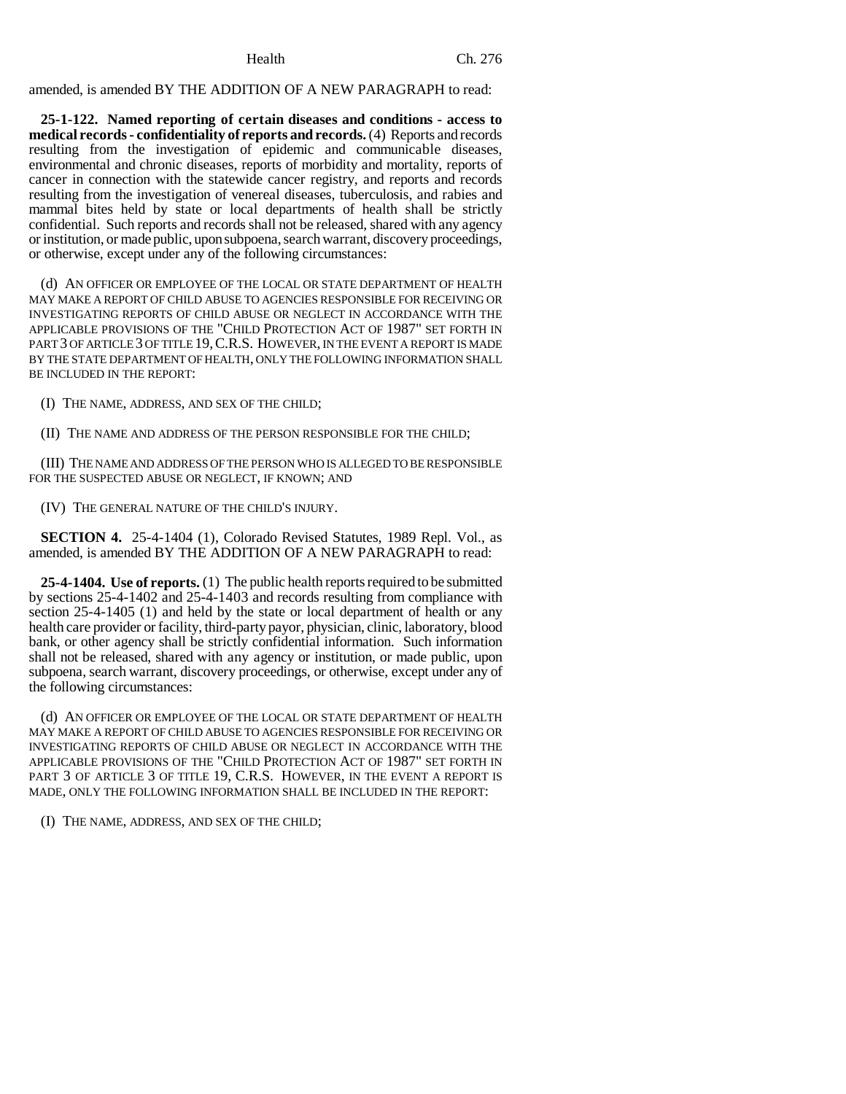amended, is amended BY THE ADDITION OF A NEW PARAGRAPH to read:

**25-1-122. Named reporting of certain diseases and conditions - access to medical records - confidentiality of reports and records.** (4) Reports and records resulting from the investigation of epidemic and communicable diseases, environmental and chronic diseases, reports of morbidity and mortality, reports of cancer in connection with the statewide cancer registry, and reports and records resulting from the investigation of venereal diseases, tuberculosis, and rabies and mammal bites held by state or local departments of health shall be strictly confidential. Such reports and records shall not be released, shared with any agency or institution, or made public, upon subpoena, search warrant, discovery proceedings, or otherwise, except under any of the following circumstances:

(d) AN OFFICER OR EMPLOYEE OF THE LOCAL OR STATE DEPARTMENT OF HEALTH MAY MAKE A REPORT OF CHILD ABUSE TO AGENCIES RESPONSIBLE FOR RECEIVING OR INVESTIGATING REPORTS OF CHILD ABUSE OR NEGLECT IN ACCORDANCE WITH THE APPLICABLE PROVISIONS OF THE "CHILD PROTECTION ACT OF 1987" SET FORTH IN PART 3 OF ARTICLE 3 OF TITLE 19, C.R.S. HOWEVER, IN THE EVENT A REPORT IS MADE BY THE STATE DEPARTMENT OF HEALTH, ONLY THE FOLLOWING INFORMATION SHALL BE INCLUDED IN THE REPORT:

(I) THE NAME, ADDRESS, AND SEX OF THE CHILD;

(II) THE NAME AND ADDRESS OF THE PERSON RESPONSIBLE FOR THE CHILD;

(III) THE NAME AND ADDRESS OF THE PERSON WHO IS ALLEGED TO BE RESPONSIBLE FOR THE SUSPECTED ABUSE OR NEGLECT, IF KNOWN; AND

(IV) THE GENERAL NATURE OF THE CHILD'S INJURY.

**SECTION 4.** 25-4-1404 (1), Colorado Revised Statutes, 1989 Repl. Vol., as amended, is amended BY THE ADDITION OF A NEW PARAGRAPH to read:

**25-4-1404. Use of reports.** (1) The public health reports required to be submitted by sections 25-4-1402 and 25-4-1403 and records resulting from compliance with section 25-4-1405 (1) and held by the state or local department of health or any health care provider or facility, third-party payor, physician, clinic, laboratory, blood bank, or other agency shall be strictly confidential information. Such information shall not be released, shared with any agency or institution, or made public, upon subpoena, search warrant, discovery proceedings, or otherwise, except under any of the following circumstances:

(d) AN OFFICER OR EMPLOYEE OF THE LOCAL OR STATE DEPARTMENT OF HEALTH MAY MAKE A REPORT OF CHILD ABUSE TO AGENCIES RESPONSIBLE FOR RECEIVING OR INVESTIGATING REPORTS OF CHILD ABUSE OR NEGLECT IN ACCORDANCE WITH THE APPLICABLE PROVISIONS OF THE "CHILD PROTECTION ACT OF 1987" SET FORTH IN PART 3 OF ARTICLE 3 OF TITLE 19, C.R.S. HOWEVER, IN THE EVENT A REPORT IS MADE, ONLY THE FOLLOWING INFORMATION SHALL BE INCLUDED IN THE REPORT:

(I) THE NAME, ADDRESS, AND SEX OF THE CHILD;